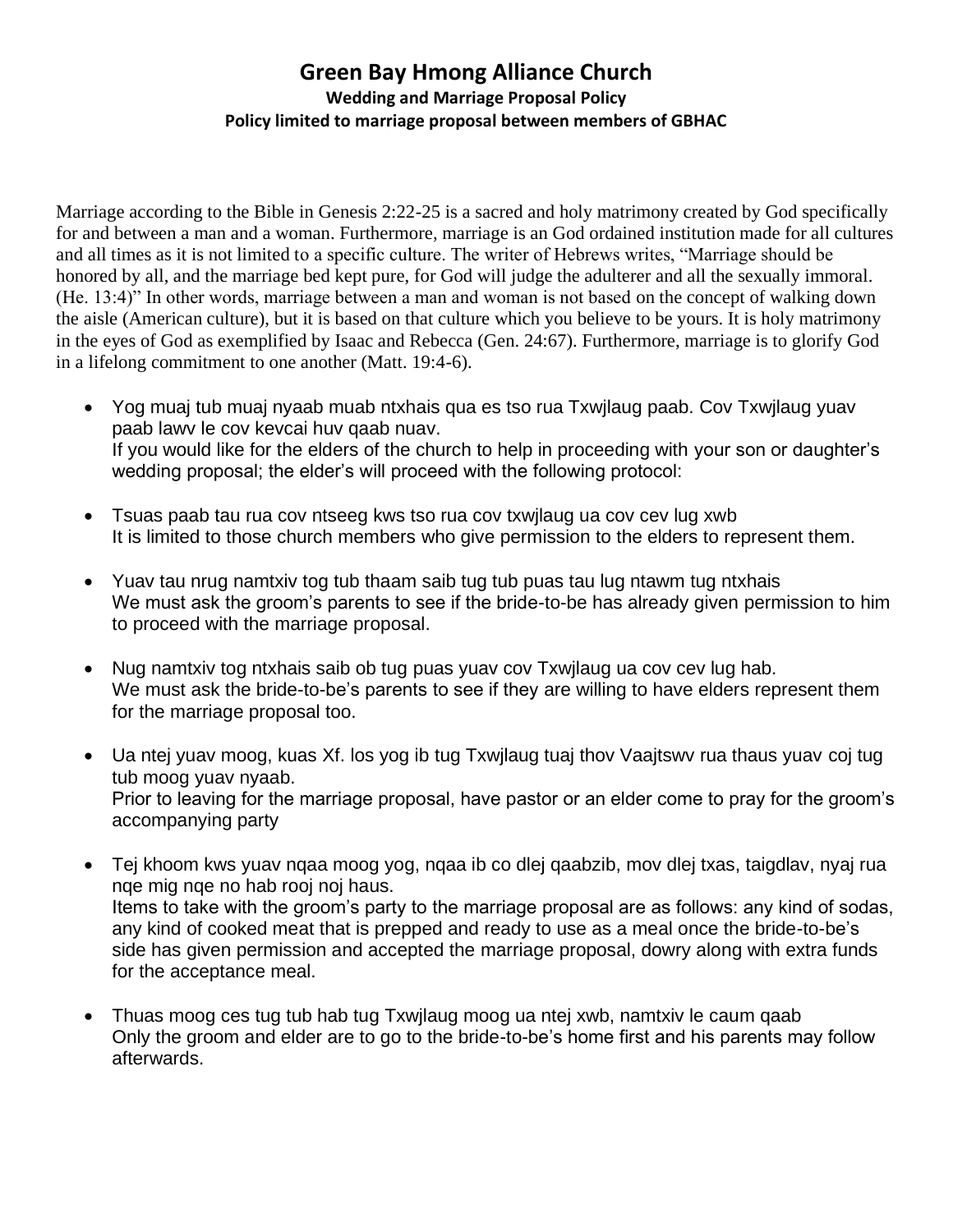## **Green Bay Hmong Alliance Church Wedding and Marriage Proposal Policy Policy limited to marriage proposal between members of GBHAC**

Marriage according to the Bible in Genesis 2:22-25 is a sacred and holy matrimony created by God specifically for and between a man and a woman. Furthermore, marriage is an God ordained institution made for all cultures and all times as it is not limited to a specific culture. The writer of Hebrews writes, "Marriage should be honored by all, and the marriage bed kept pure, for God will judge the adulterer and all the sexually immoral. (He. 13:4)" In other words, marriage between a man and woman is not based on the concept of walking down the aisle (American culture), but it is based on that culture which you believe to be yours. It is holy matrimony in the eyes of God as exemplified by Isaac and Rebecca (Gen. 24:67). Furthermore, marriage is to glorify God in a lifelong commitment to one another (Matt. 19:4-6).

- Yog muaj tub muaj nyaab muab ntxhais qua es tso rua Txwjlaug paab. Cov Txwjlaug yuav paab lawv le cov kevcai huv qaab nuav. If you would like for the elders of the church to help in proceeding with your son or daughter's wedding proposal; the elder's will proceed with the following protocol:
- Tsuas paab tau rua cov ntseeg kws tso rua cov txwjlaug ua cov cev lug xwb It is limited to those church members who give permission to the elders to represent them.
- Yuav tau nrug namtxiv tog tub thaam saib tug tub puas tau lug ntawm tug ntxhais We must ask the groom's parents to see if the bride-to-be has already given permission to him to proceed with the marriage proposal.
- Nug namtxiv tog ntxhais saib ob tug puas yuav cov Txwjlaug ua cov cev lug hab. We must ask the bride-to-be's parents to see if they are willing to have elders represent them for the marriage proposal too.
- Ua ntej yuav moog, kuas Xf. los yog ib tug Txwilaug tuaj thov Vaajtswy rua thaus yuav coj tug tub moog yuav nyaab. Prior to leaving for the marriage proposal, have pastor or an elder come to pray for the groom's accompanying party
- Tej khoom kws yuav nqaa moog yog, nqaa ib co dlej qaabzib, mov dlej txas, taigdlav, nyaj rua nqe mig nqe no hab rooj noj haus. Items to take with the groom's party to the marriage proposal are as follows: any kind of sodas, any kind of cooked meat that is prepped and ready to use as a meal once the bride-to-be's side has given permission and accepted the marriage proposal, dowry along with extra funds for the acceptance meal.
- Thuas moog ces tug tub hab tug Txwjlaug moog ua ntej xwb, namtxiv le caum qaab Only the groom and elder are to go to the bride-to-be's home first and his parents may follow afterwards.